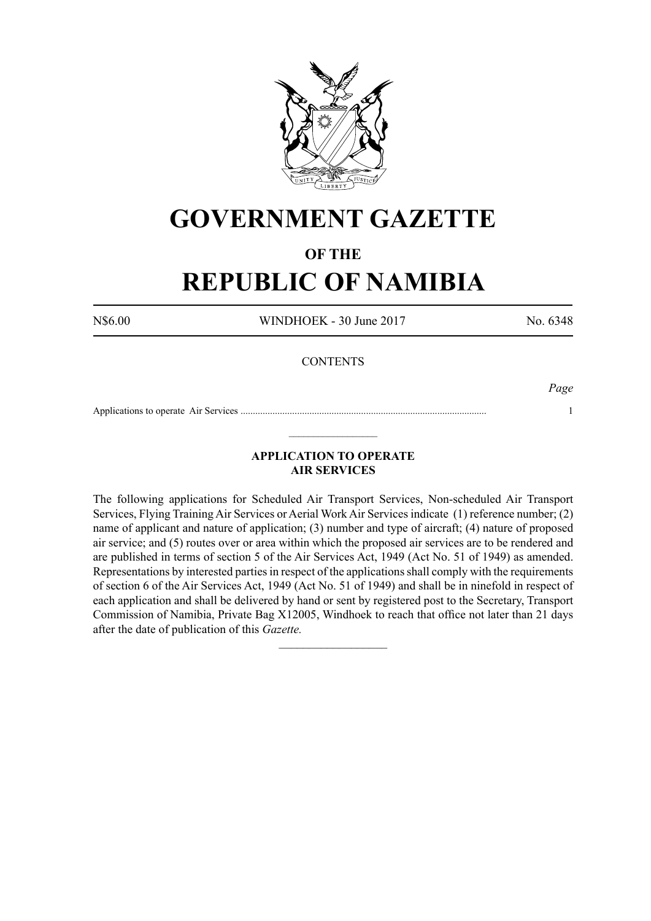

# **GOVERNMENT GAZETTE**

# **OF THE**

# **REPUBLIC OF NAMIBIA**

N\$6.00 WINDHOEK - 30 June 2017 No. 6348

## **CONTENTS**

*Page*

Applications to operate Air Services .................................................................................................... 1  $\_$ 

# **APPLICATION TO OPERATE AIR SERVICES**

The following applications for Scheduled Air Transport Services, Non-scheduled Air Transport Services, Flying Training Air Services or Aerial Work Air Services indicate (1) reference number; (2) name of applicant and nature of application; (3) number and type of aircraft; (4) nature of proposed air service; and (5) routes over or area within which the proposed air services are to be rendered and are published in terms of section 5 of the Air Services Act, 1949 (Act No. 51 of 1949) as amended. Representations by interested parties in respect of the applications shall comply with the requirements of section 6 of the Air Services Act, 1949 (Act No. 51 of 1949) and shall be in ninefold in respect of each application and shall be delivered by hand or sent by registered post to the Secretary, Transport Commission of Namibia, Private Bag X12005, Windhoek to reach that office not later than 21 days after the date of publication of this *Gazette.*

 $\frac{1}{2}$  ,  $\frac{1}{2}$  ,  $\frac{1}{2}$  ,  $\frac{1}{2}$  ,  $\frac{1}{2}$  ,  $\frac{1}{2}$  ,  $\frac{1}{2}$  ,  $\frac{1}{2}$  ,  $\frac{1}{2}$  ,  $\frac{1}{2}$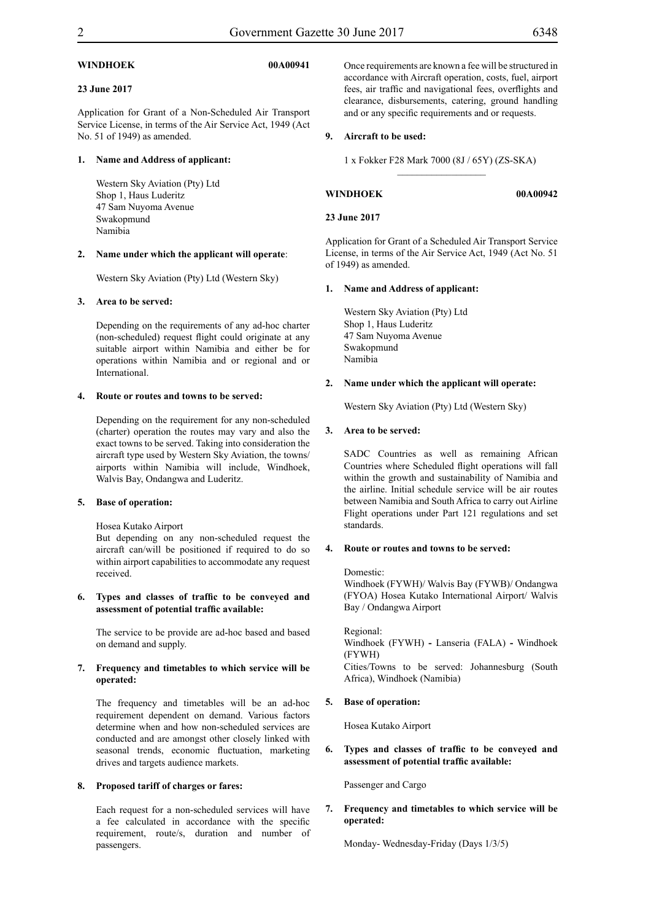#### **WINDHOEK 00A00941**

#### **23 June 2017**

Application for Grant of a Non-Scheduled Air Transport Service License, in terms of the Air Service Act, 1949 (Act No. 51 of 1949) as amended.

#### **1. Name and Address of applicant:**

Western Sky Aviation (Pty) Ltd Shop 1, Haus Luderitz 47 Sam Nuyoma Avenue Swakopmund Namibia

#### **2. Name under which the applicant will operate**:

Western Sky Aviation (Pty) Ltd (Western Sky)

#### **3. Area to be served:**

Depending on the requirements of any ad-hoc charter (non-scheduled) request flight could originate at any suitable airport within Namibia and either be for operations within Namibia and or regional and or International.

#### **4. Route or routes and towns to be served:**

Depending on the requirement for any non-scheduled (charter) operation the routes may vary and also the exact towns to be served. Taking into consideration the aircraft type used by Western Sky Aviation, the towns/ airports within Namibia will include, Windhoek, Walvis Bay, Ondangwa and Luderitz.

#### **5. Base of operation:**

Hosea Kutako Airport

But depending on any non-scheduled request the aircraft can/will be positioned if required to do so within airport capabilities to accommodate any request received.

#### **6. Types and classes of traffic to be conveyed and assessment of potential traffic available:**

The service to be provide are ad-hoc based and based on demand and supply.

#### **7. Frequency and timetables to which service will be operated:**

The frequency and timetables will be an ad-hoc requirement dependent on demand. Various factors determine when and how non-scheduled services are conducted and are amongst other closely linked with seasonal trends, economic fluctuation, marketing drives and targets audience markets.

#### **8. Proposed tariff of charges or fares:**

Each request for a non-scheduled services will have a fee calculated in accordance with the specific requirement, route/s, duration and number of passengers.

Once requirements are known a fee will be structured in accordance with Aircraft operation, costs, fuel, airport fees, air traffic and navigational fees, overflights and clearance, disbursements, catering, ground handling and or any specific requirements and or requests.

#### **9. Aircraft to be used:**

1 x Fokker F28 Mark 7000 (8J / 65Y) (ZS-SKA)  $\frac{1}{2}$  ,  $\frac{1}{2}$  ,  $\frac{1}{2}$  ,  $\frac{1}{2}$  ,  $\frac{1}{2}$  ,  $\frac{1}{2}$  ,  $\frac{1}{2}$  ,  $\frac{1}{2}$  ,  $\frac{1}{2}$  ,  $\frac{1}{2}$ 

#### **WINDHOEK 00A00942**

# **23 June 2017**

Application for Grant of a Scheduled Air Transport Service License, in terms of the Air Service Act, 1949 (Act No. 51 of 1949) as amended.

#### **1. Name and Address of applicant:**

Western Sky Aviation (Pty) Ltd Shop 1, Haus Luderitz 47 Sam Nuyoma Avenue Swakopmund Namibia

#### **2. Name under which the applicant will operate:**

Western Sky Aviation (Pty) Ltd (Western Sky)

#### **3. Area to be served:**

SADC Countries as well as remaining African Countries where Scheduled flight operations will fall within the growth and sustainability of Namibia and the airline. Initial schedule service will be air routes between Namibia and South Africa to carry out Airline Flight operations under Part 121 regulations and set standards.

#### **4. Route or routes and towns to be served:**

Domestic:

Windhoek (FYWH)/ Walvis Bay (FYWB)/ Ondangwa (FYOA) Hosea Kutako International Airport/ Walvis Bay / Ondangwa Airport

Regional: Windhoek (FYWH) **-** Lanseria (FALA) **-** Windhoek (FYWH)

Cities/Towns to be served: Johannesburg (South Africa), Windhoek (Namibia)

**5. Base of operation:**

Hosea Kutako Airport

**6. Types and classes of traffic to be conveyed and assessment of potential traffic available:**

Passenger and Cargo

**7. Frequency and timetables to which service will be operated:**

Monday- Wednesday-Friday (Days 1/3/5)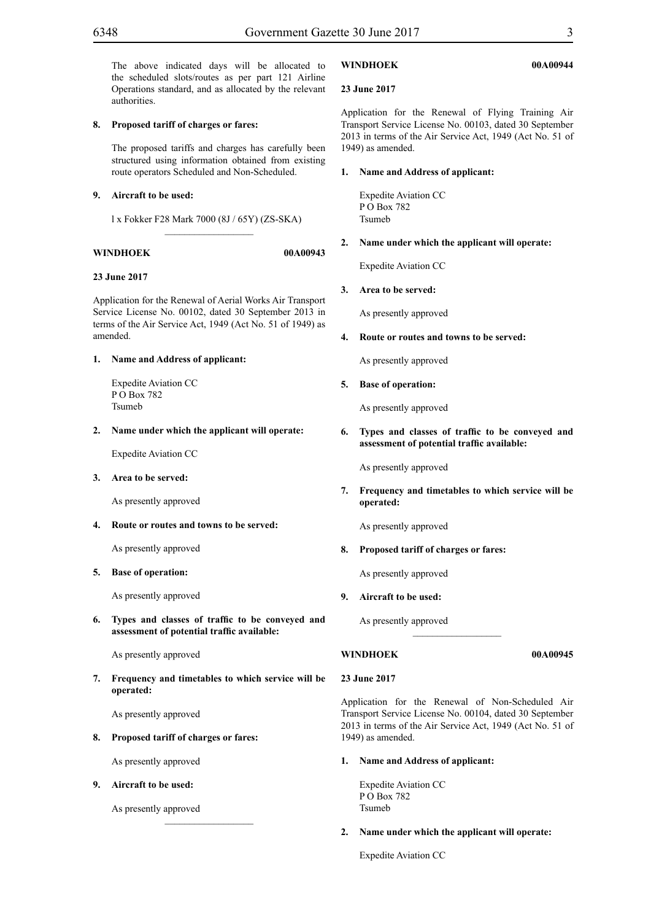The above indicated days will be allocated to the scheduled slots/routes as per part 121 Airline Operations standard, and as allocated by the relevant authorities.

#### **8. Proposed tariff of charges or fares:**

The proposed tariffs and charges has carefully been structured using information obtained from existing route operators Scheduled and Non-Scheduled.

#### **9. Aircraft to be used:**

l x Fokker F28 Mark 7000 (8J / 65Y) (ZS-SKA)  $\frac{1}{2}$  ,  $\frac{1}{2}$  ,  $\frac{1}{2}$  ,  $\frac{1}{2}$  ,  $\frac{1}{2}$  ,  $\frac{1}{2}$  ,  $\frac{1}{2}$  ,  $\frac{1}{2}$  ,  $\frac{1}{2}$  ,  $\frac{1}{2}$ 

#### **WINDHOEK 00A00943**

#### **23 June 2017**

Application for the Renewal of Aerial Works Air Transport Service License No. 00102, dated 30 September 2013 in terms of the Air Service Act, 1949 (Act No. 51 of 1949) as amended.

#### **1. Name and Address of applicant:**

Expedite Aviation CC P O Box 782 Tsumeb

#### **2. Name under which the applicant will operate:**

Expedite Aviation CC

### **3. Area to be served:**

As presently approved

#### **4. Route or routes and towns to be served:**

As presently approved

#### **5. Base of operation:**

As presently approved

**6. Types and classes of traffic to be conveyed and assessment of potential traffic available:**

As presently approved

**7. Frequency and timetables to which service will be operated:**

As presently approved

**8. Proposed tariff of charges or fares:**

As presently approved

**9. Aircraft to be used:**

As presently approved  $\frac{1}{2}$  ,  $\frac{1}{2}$  ,  $\frac{1}{2}$  ,  $\frac{1}{2}$  ,  $\frac{1}{2}$  ,  $\frac{1}{2}$  ,  $\frac{1}{2}$  ,  $\frac{1}{2}$  ,  $\frac{1}{2}$  ,  $\frac{1}{2}$ 

### **WINDHOEK 00A00944**

#### **23 June 2017**

Application for the Renewal of Flying Training Air Transport Service License No. 00103, dated 30 September 2013 in terms of the Air Service Act, 1949 (Act No. 51 of 1949) as amended.

#### **1. Name and Address of applicant:**

Expedite Aviation CC P O Box 782 Tsumeb

#### **2. Name under which the applicant will operate:**

Expedite Aviation CC

#### **3. Area to be served:**

As presently approved

**4. Route or routes and towns to be served:**

As presently approved

**5. Base of operation:**

As presently approved

**6. Types and classes of traffic to be conveyed and assessment of potential traffic available:**

As presently approved

**7. Frequency and timetables to which service will be operated:**

As presently approved

**8. Proposed tariff of charges or fares:**

As presently approved

**9. Aircraft to be used:**

As presently approved

#### **WINDHOEK 00A00945**

**23 June 2017**

Application for the Renewal of Non-Scheduled Air Transport Service License No. 00104, dated 30 September 2013 in terms of the Air Service Act, 1949 (Act No. 51 of 1949) as amended.

#### **1. Name and Address of applicant:**

Expedite Aviation CC P O Box 782 Tsumeb

**2. Name under which the applicant will operate:**

Expedite Aviation CC